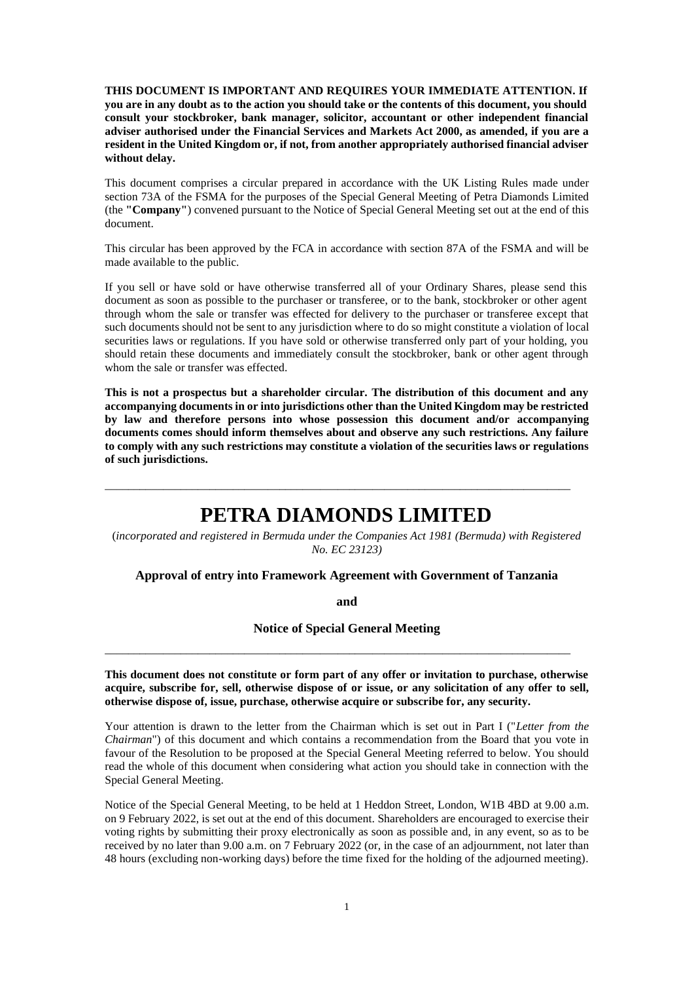**THIS DOCUMENT IS IMPORTANT AND REQUIRES YOUR IMMEDIATE ATTENTION. If you are in any doubt as to the action you should take or the contents of this document, you should consult your stockbroker, bank manager, solicitor, accountant or other independent financial adviser authorised under the Financial Services and Markets Act 2000, as amended, if you are a resident in the United Kingdom or, if not, from another appropriately authorised financial adviser without delay.**

This document comprises a circular prepared in accordance with the UK Listing Rules made under section 73A of the FSMA for the purposes of the Special General Meeting of Petra Diamonds Limited (the **"Company"**) convened pursuant to the Notice of Special General Meeting set out at the end of this document.

This circular has been approved by the FCA in accordance with section 87A of the FSMA and will be made available to the public.

If you sell or have sold or have otherwise transferred all of your Ordinary Shares, please send this document as soon as possible to the purchaser or transferee, or to the bank, stockbroker or other agent through whom the sale or transfer was effected for delivery to the purchaser or transferee except that such documents should not be sent to any jurisdiction where to do so might constitute a violation of local securities laws or regulations. If you have sold or otherwise transferred only part of your holding, you should retain these documents and immediately consult the stockbroker, bank or other agent through whom the sale or transfer was effected.

**This is not a prospectus but a shareholder circular. The distribution of this document and any accompanying documents in or into jurisdictions other than the United Kingdom may be restricted by law and therefore persons into whose possession this document and/or accompanying documents comes should inform themselves about and observe any such restrictions. Any failure to comply with any such restrictions may constitute a violation of the securities laws or regulations of such jurisdictions.**

# **PETRA DIAMONDS LIMITED**

\_\_\_\_\_\_\_\_\_\_\_\_\_\_\_\_\_\_\_\_\_\_\_\_\_\_\_\_\_\_\_\_\_\_\_\_\_\_\_\_\_\_\_\_\_\_\_\_\_\_\_\_\_\_\_\_\_\_\_\_\_\_\_\_\_\_\_\_\_\_\_\_\_\_\_\_\_\_\_\_

(*incorporated and registered in Bermuda under the Companies Act 1981 (Bermuda) with Registered No. EC 23123)*

#### **Approval of entry into Framework Agreement with Government of Tanzania**

**and**

**Notice of Special General Meeting**

\_\_\_\_\_\_\_\_\_\_\_\_\_\_\_\_\_\_\_\_\_\_\_\_\_\_\_\_\_\_\_\_\_\_\_\_\_\_\_\_\_\_\_\_\_\_\_\_\_\_\_\_\_\_\_\_\_\_\_\_\_\_\_\_\_\_\_\_\_\_\_\_\_\_\_\_\_\_\_\_

**This document does not constitute or form part of any offer or invitation to purchase, otherwise acquire, subscribe for, sell, otherwise dispose of or issue, or any solicitation of any offer to sell, otherwise dispose of, issue, purchase, otherwise acquire or subscribe for, any security.**

Your attention is drawn to the letter from the Chairman which is set out in Part I ("*Letter from the Chairman*") of this document and which contains a recommendation from the Board that you vote in favour of the Resolution to be proposed at the Special General Meeting referred to below. You should read the whole of this document when considering what action you should take in connection with the Special General Meeting.

Notice of the Special General Meeting, to be held at 1 Heddon Street, London, W1B 4BD at 9.00 a.m. on 9 February 2022, is set out at the end of this document. Shareholders are encouraged to exercise their voting rights by submitting their proxy electronically as soon as possible and, in any event, so as to be received by no later than 9.00 a.m. on 7 February 2022 (or, in the case of an adjournment, not later than 48 hours (excluding non-working days) before the time fixed for the holding of the adjourned meeting).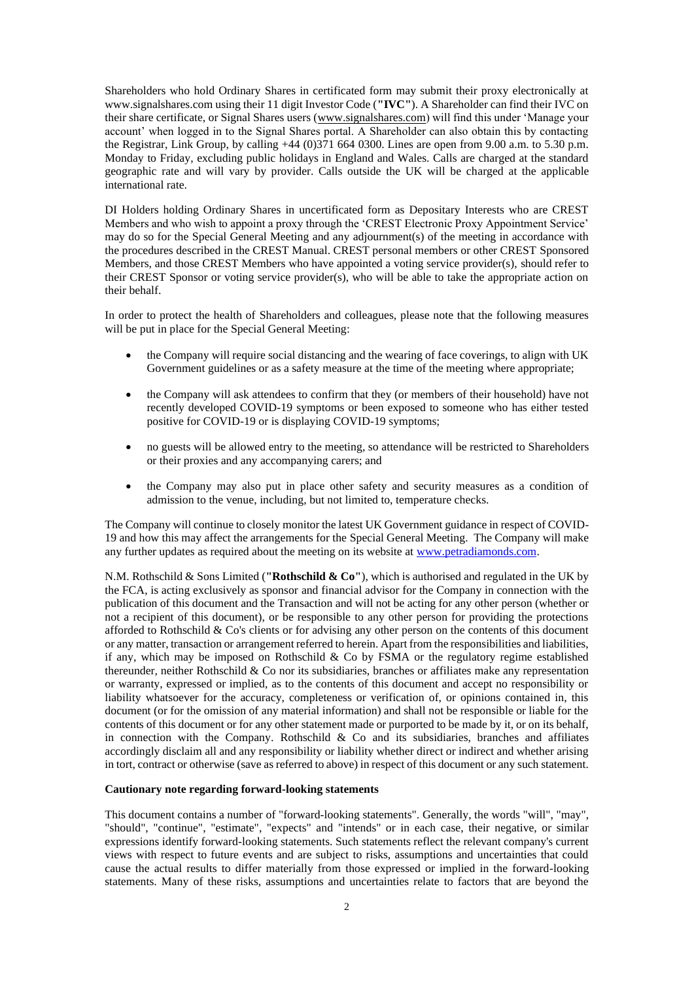Shareholders who hold Ordinary Shares in certificated form may submit their proxy electronically at www.signalshares.com using their 11 digit Investor Code (**"IVC"**). A Shareholder can find their IVC on their share certificate, or Signal Shares users [\(www.signalshares.com\)](http://www.signalshares.com/) will find this under 'Manage your account' when logged in to the Signal Shares portal. A Shareholder can also obtain this by contacting the Registrar, Link Group, by calling +44 (0)371 664 0300. Lines are open from 9.00 a.m. to 5.30 p.m. Monday to Friday, excluding public holidays in England and Wales. Calls are charged at the standard geographic rate and will vary by provider. Calls outside the UK will be charged at the applicable international rate.

DI Holders holding Ordinary Shares in uncertificated form as Depositary Interests who are CREST Members and who wish to appoint a proxy through the 'CREST Electronic Proxy Appointment Service' may do so for the Special General Meeting and any adjournment(s) of the meeting in accordance with the procedures described in the CREST Manual. CREST personal members or other CREST Sponsored Members, and those CREST Members who have appointed a voting service provider(s), should refer to their CREST Sponsor or voting service provider(s), who will be able to take the appropriate action on their behalf.

In order to protect the health of Shareholders and colleagues, please note that the following measures will be put in place for the Special General Meeting:

- the Company will require social distancing and the wearing of face coverings, to align with UK Government guidelines or as a safety measure at the time of the meeting where appropriate;
- the Company will ask attendees to confirm that they (or members of their household) have not recently developed COVID-19 symptoms or been exposed to someone who has either tested positive for COVID-19 or is displaying COVID-19 symptoms;
- no guests will be allowed entry to the meeting, so attendance will be restricted to Shareholders or their proxies and any accompanying carers; and
- the Company may also put in place other safety and security measures as a condition of admission to the venue, including, but not limited to, temperature checks.

The Company will continue to closely monitor the latest UK Government guidance in respect of COVID-19 and how this may affect the arrangements for the Special General Meeting. The Company will make any further updates as required about the meeting on its website at [www.petradiamonds.com.](http://www.petradiamonds.com/)

N.M. Rothschild & Sons Limited (**"Rothschild & Co"**), which is authorised and regulated in the UK by the FCA, is acting exclusively as sponsor and financial advisor for the Company in connection with the publication of this document and the Transaction and will not be acting for any other person (whether or not a recipient of this document), or be responsible to any other person for providing the protections afforded to Rothschild & Co's clients or for advising any other person on the contents of this document or any matter, transaction or arrangement referred to herein. Apart from the responsibilities and liabilities, if any, which may be imposed on Rothschild  $\&$  Co by FSMA or the regulatory regime established thereunder, neither Rothschild & Co nor its subsidiaries, branches or affiliates make any representation or warranty, expressed or implied, as to the contents of this document and accept no responsibility or liability whatsoever for the accuracy, completeness or verification of, or opinions contained in, this document (or for the omission of any material information) and shall not be responsible or liable for the contents of this document or for any other statement made or purported to be made by it, or on its behalf, in connection with the Company. Rothschild  $\&$  Co and its subsidiaries, branches and affiliates accordingly disclaim all and any responsibility or liability whether direct or indirect and whether arising in tort, contract or otherwise (save as referred to above) in respect of this document or any such statement.

#### **Cautionary note regarding forward-looking statements**

This document contains a number of "forward-looking statements". Generally, the words "will", "may", "should", "continue", "estimate", "expects" and "intends" or in each case, their negative, or similar expressions identify forward-looking statements. Such statements reflect the relevant company's current views with respect to future events and are subject to risks, assumptions and uncertainties that could cause the actual results to differ materially from those expressed or implied in the forward-looking statements. Many of these risks, assumptions and uncertainties relate to factors that are beyond the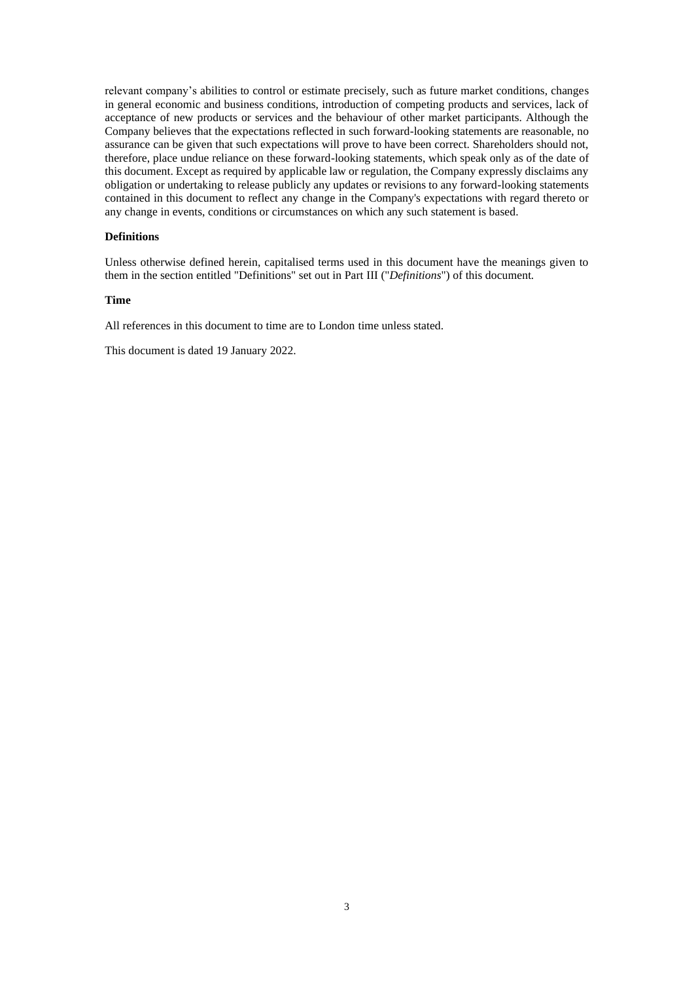relevant company's abilities to control or estimate precisely, such as future market conditions, changes in general economic and business conditions, introduction of competing products and services, lack of acceptance of new products or services and the behaviour of other market participants. Although the Company believes that the expectations reflected in such forward-looking statements are reasonable, no assurance can be given that such expectations will prove to have been correct. Shareholders should not, therefore, place undue reliance on these forward-looking statements, which speak only as of the date of this document. Except as required by applicable law or regulation, the Company expressly disclaims any obligation or undertaking to release publicly any updates or revisions to any forward-looking statements contained in this document to reflect any change in the Company's expectations with regard thereto or any change in events, conditions or circumstances on which any such statement is based.

# **Definitions**

Unless otherwise defined herein, capitalised terms used in this document have the meanings given to them in the section entitled "Definitions" set out in Part III ("*Definitions*") of this document.

#### **Time**

All references in this document to time are to London time unless stated.

This document is dated 19 January 2022.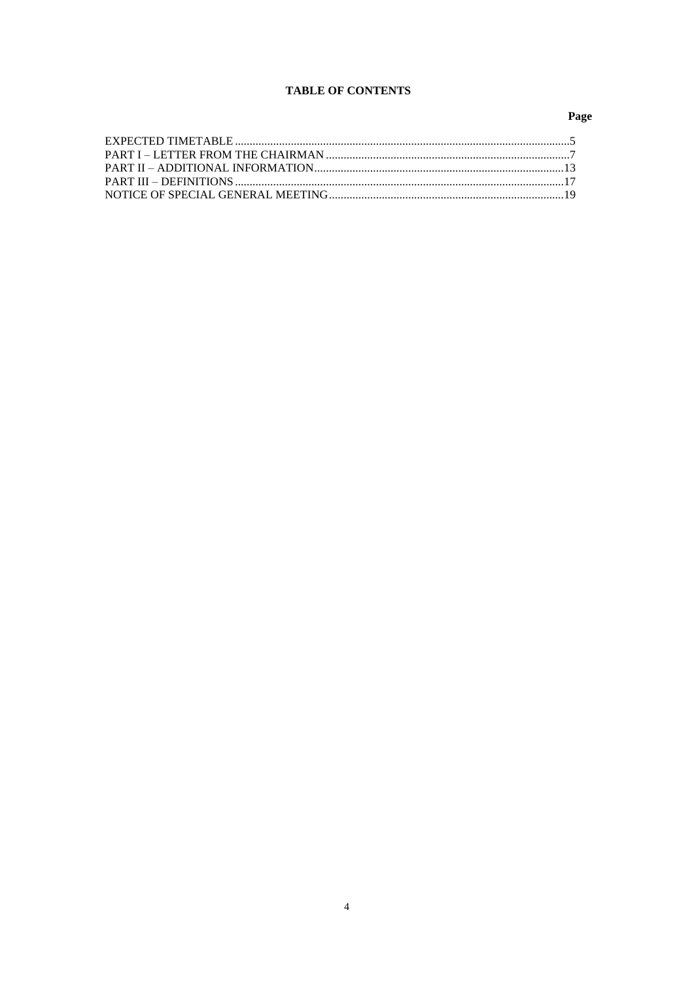# **TABLE OF CONTENTS**

# Page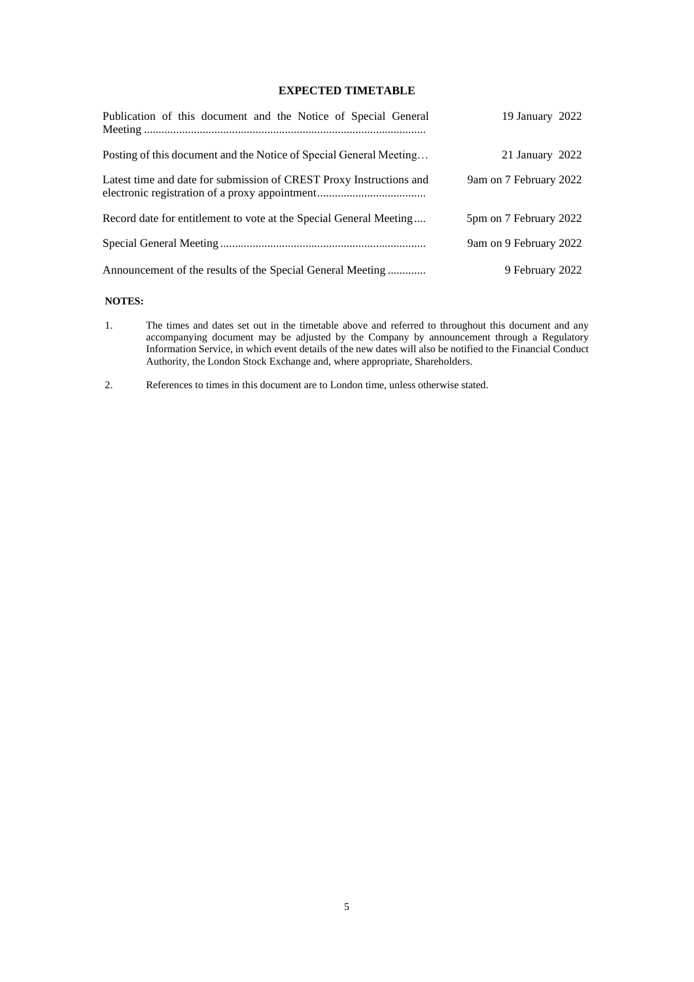# **EXPECTED TIMETABLE**

| Publication of this document and the Notice of Special General      | 19 January 2022        |
|---------------------------------------------------------------------|------------------------|
| Posting of this document and the Notice of Special General Meeting  | 21 January 2022        |
| Latest time and date for submission of CREST Proxy Instructions and | 9am on 7 February 2022 |
| Record date for entitlement to vote at the Special General Meeting  | 5pm on 7 February 2022 |
|                                                                     | 9am on 9 February 2022 |
| Announcement of the results of the Special General Meeting          | 9 February 2022        |

# **NOTES:**

- 1. The times and dates set out in the timetable above and referred to throughout this document and any accompanying document may be adjusted by the Company by announcement through a Regulatory Information Service, in which event details of the new dates will also be notified to the Financial Conduct Authority, the London Stock Exchange and, where appropriate, Shareholders.
- 2. References to times in this document are to London time, unless otherwise stated.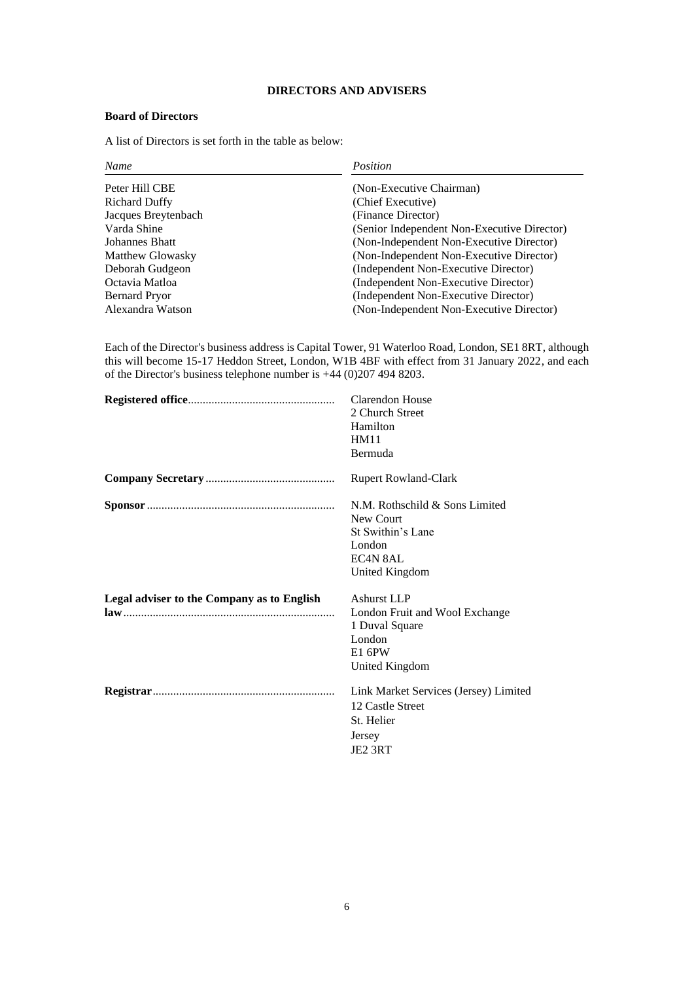# **DIRECTORS AND ADVISERS**

# **Board of Directors**

A list of Directors is set forth in the table as below:

| <b>Name</b>          | Position                                    |
|----------------------|---------------------------------------------|
| Peter Hill CBE       | (Non-Executive Chairman)                    |
| <b>Richard Duffy</b> | (Chief Executive)                           |
| Jacques Breytenbach  | (Finance Director)                          |
| Varda Shine          | (Senior Independent Non-Executive Director) |
| Johannes Bhatt       | (Non-Independent Non-Executive Director)    |
| Matthew Glowasky     | (Non-Independent Non-Executive Director)    |
| Deborah Gudgeon      | (Independent Non-Executive Director)        |
| Octavia Matloa       | (Independent Non-Executive Director)        |
| Bernard Pryor        | (Independent Non-Executive Director)        |
| Alexandra Watson     | (Non-Independent Non-Executive Director)    |

Each of the Director's business address is Capital Tower, 91 Waterloo Road, London, SE1 8RT, although this will become 15-17 Heddon Street, London, W1B 4BF with effect from 31 January 2022, and each of the Director's business telephone number is +44 (0)207 494 8203.

|                                                                                                                                                                                                                                                                                                                                                                                                                                                                                                            | Clarendon House<br>2 Church Street<br>Hamilton<br><b>HM11</b><br>Bermuda                                     |
|------------------------------------------------------------------------------------------------------------------------------------------------------------------------------------------------------------------------------------------------------------------------------------------------------------------------------------------------------------------------------------------------------------------------------------------------------------------------------------------------------------|--------------------------------------------------------------------------------------------------------------|
|                                                                                                                                                                                                                                                                                                                                                                                                                                                                                                            | <b>Rupert Rowland-Clark</b>                                                                                  |
|                                                                                                                                                                                                                                                                                                                                                                                                                                                                                                            | N.M. Rothschild & Sons Limited<br>New Court<br>St Swithin's Lane<br>London<br>EC4N 8AL<br>United Kingdom     |
| Legal adviser to the Company as to English<br>$\mathbf{law}_{1}, \ldots, \mathbf{u}_{n}, \ldots, \mathbf{u}, \mathbf{u}, \mathbf{u}, \ldots, \mathbf{u}, \mathbf{u}, \mathbf{u}, \ldots, \mathbf{u}, \mathbf{u}, \mathbf{u}, \mathbf{u}, \ldots, \mathbf{u}, \mathbf{u}, \mathbf{u}, \mathbf{u}, \mathbf{u}, \mathbf{u}, \mathbf{u}, \mathbf{u}, \mathbf{u}, \mathbf{u}, \mathbf{u}, \mathbf{u}, \mathbf{u}, \mathbf{u}, \mathbf{u}, \mathbf{u}, \mathbf{u}, \mathbf{u}, \mathbf{u}, \mathbf{u}, \mathbf{$ | <b>Ashurst LLP</b><br>London Fruit and Wool Exchange<br>1 Duval Square<br>London<br>E1 6PW<br>United Kingdom |
|                                                                                                                                                                                                                                                                                                                                                                                                                                                                                                            | Link Market Services (Jersey) Limited<br>12 Castle Street<br>St. Helier<br>Jersey<br>JE <sub>2</sub> 3RT     |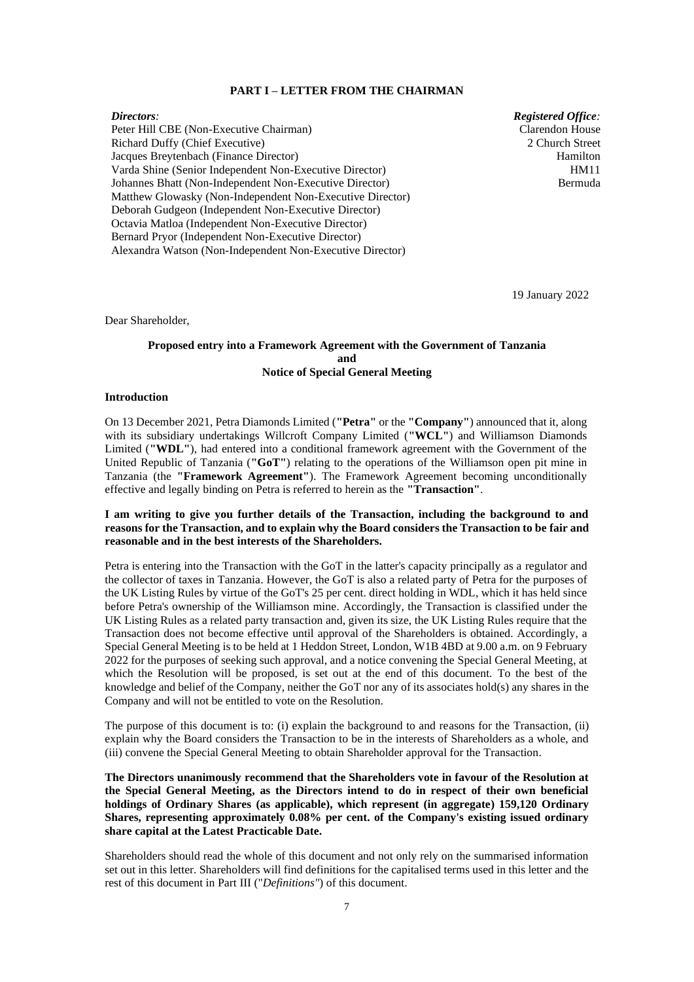#### **PART I – LETTER FROM THE CHAIRMAN**

*Directors:* Peter Hill CBE (Non-Executive Chairman) Richard Duffy (Chief Executive) Jacques Breytenbach (Finance Director) Varda Shine (Senior Independent Non-Executive Director) Johannes Bhatt (Non-Independent Non-Executive Director) Matthew Glowasky (Non-Independent Non-Executive Director) Deborah Gudgeon (Independent Non-Executive Director) Octavia Matloa (Independent Non-Executive Director) Bernard Pryor (Independent Non-Executive Director) Alexandra Watson (Non-Independent Non-Executive Director)

*Registered Office:* Clarendon House 2 Church Street Hamilton HM11 Bermuda

19 January 2022

Dear Shareholder,

# **Proposed entry into a Framework Agreement with the Government of Tanzania and Notice of Special General Meeting**

## **Introduction**

On 13 December 2021, Petra Diamonds Limited (**"Petra"** or the **"Company"**) announced that it, along with its subsidiary undertakings Willcroft Company Limited (**"WCL"**) and Williamson Diamonds Limited (**"WDL"**), had entered into a conditional framework agreement with the Government of the United Republic of Tanzania (**"GoT"**) relating to the operations of the Williamson open pit mine in Tanzania (the **"Framework Agreement"**). The Framework Agreement becoming unconditionally effective and legally binding on Petra is referred to herein as the **"Transaction"**.

# **I am writing to give you further details of the Transaction, including the background to and reasons for the Transaction, and to explain why the Board considers the Transaction to be fair and reasonable and in the best interests of the Shareholders.**

Petra is entering into the Transaction with the GoT in the latter's capacity principally as a regulator and the collector of taxes in Tanzania. However, the GoT is also a related party of Petra for the purposes of the UK Listing Rules by virtue of the GoT's 25 per cent. direct holding in WDL, which it has held since before Petra's ownership of the Williamson mine. Accordingly, the Transaction is classified under the UK Listing Rules as a related party transaction and, given its size, the UK Listing Rules require that the Transaction does not become effective until approval of the Shareholders is obtained. Accordingly, a Special General Meeting is to be held at 1 Heddon Street, London, W1B 4BD at 9.00 a.m. on 9 February 2022 for the purposes of seeking such approval, and a notice convening the Special General Meeting, at which the Resolution will be proposed, is set out at the end of this document. To the best of the knowledge and belief of the Company, neither the GoT nor any of its associates hold(s) any shares in the Company and will not be entitled to vote on the Resolution.

The purpose of this document is to: (i) explain the background to and reasons for the Transaction, (ii) explain why the Board considers the Transaction to be in the interests of Shareholders as a whole, and (iii) convene the Special General Meeting to obtain Shareholder approval for the Transaction.

**The Directors unanimously recommend that the Shareholders vote in favour of the Resolution at the Special General Meeting, as the Directors intend to do in respect of their own beneficial holdings of Ordinary Shares (as applicable), which represent (in aggregate) 159,120 Ordinary Shares, representing approximately 0.08% per cent. of the Company's existing issued ordinary share capital at the Latest Practicable Date.** 

Shareholders should read the whole of this document and not only rely on the summarised information set out in this letter. Shareholders will find definitions for the capitalised terms used in this letter and the rest of this document in Part III ("*Definitions"*) of this document.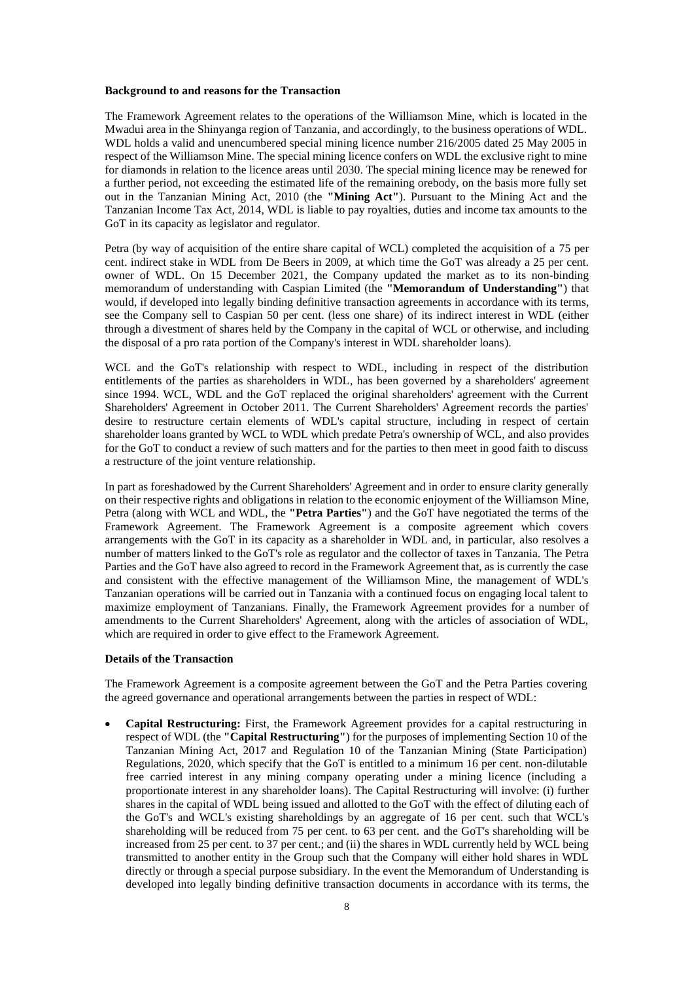#### **Background to and reasons for the Transaction**

The Framework Agreement relates to the operations of the Williamson Mine, which is located in the Mwadui area in the Shinyanga region of Tanzania, and accordingly, to the business operations of WDL. WDL holds a valid and unencumbered special mining licence number 216/2005 dated 25 May 2005 in respect of the Williamson Mine. The special mining licence confers on WDL the exclusive right to mine for diamonds in relation to the licence areas until 2030. The special mining licence may be renewed for a further period, not exceeding the estimated life of the remaining orebody, on the basis more fully set out in the Tanzanian Mining Act, 2010 (the **"Mining Act"**). Pursuant to the Mining Act and the Tanzanian Income Tax Act, 2014, WDL is liable to pay royalties, duties and income tax amounts to the GoT in its capacity as legislator and regulator.

Petra (by way of acquisition of the entire share capital of WCL) completed the acquisition of a 75 per cent. indirect stake in WDL from De Beers in 2009, at which time the GoT was already a 25 per cent. owner of WDL. On 15 December 2021, the Company updated the market as to its non-binding memorandum of understanding with Caspian Limited (the **"Memorandum of Understanding"**) that would, if developed into legally binding definitive transaction agreements in accordance with its terms, see the Company sell to Caspian 50 per cent. (less one share) of its indirect interest in WDL (either through a divestment of shares held by the Company in the capital of WCL or otherwise, and including the disposal of a pro rata portion of the Company's interest in WDL shareholder loans).

WCL and the GoT's relationship with respect to WDL, including in respect of the distribution entitlements of the parties as shareholders in WDL, has been governed by a shareholders' agreement since 1994. WCL, WDL and the GoT replaced the original shareholders' agreement with the Current Shareholders' Agreement in October 2011. The Current Shareholders' Agreement records the parties' desire to restructure certain elements of WDL's capital structure, including in respect of certain shareholder loans granted by WCL to WDL which predate Petra's ownership of WCL, and also provides for the GoT to conduct a review of such matters and for the parties to then meet in good faith to discuss a restructure of the joint venture relationship.

In part as foreshadowed by the Current Shareholders' Agreement and in order to ensure clarity generally on their respective rights and obligations in relation to the economic enjoyment of the Williamson Mine, Petra (along with WCL and WDL, the **"Petra Parties"**) and the GoT have negotiated the terms of the Framework Agreement. The Framework Agreement is a composite agreement which covers arrangements with the GoT in its capacity as a shareholder in WDL and, in particular, also resolves a number of matters linked to the GoT's role as regulator and the collector of taxes in Tanzania. The Petra Parties and the GoT have also agreed to record in the Framework Agreement that, as is currently the case and consistent with the effective management of the Williamson Mine, the management of WDL's Tanzanian operations will be carried out in Tanzania with a continued focus on engaging local talent to maximize employment of Tanzanians. Finally, the Framework Agreement provides for a number of amendments to the Current Shareholders' Agreement, along with the articles of association of WDL, which are required in order to give effect to the Framework Agreement.

#### **Details of the Transaction**

The Framework Agreement is a composite agreement between the GoT and the Petra Parties covering the agreed governance and operational arrangements between the parties in respect of WDL:

• **Capital Restructuring:** First, the Framework Agreement provides for a capital restructuring in respect of WDL (the **"Capital Restructuring"**) for the purposes of implementing Section 10 of the Tanzanian Mining Act, 2017 and Regulation 10 of the Tanzanian Mining (State Participation) Regulations, 2020, which specify that the GoT is entitled to a minimum 16 per cent. non-dilutable free carried interest in any mining company operating under a mining licence (including a proportionate interest in any shareholder loans). The Capital Restructuring will involve: (i) further shares in the capital of WDL being issued and allotted to the GoT with the effect of diluting each of the GoT's and WCL's existing shareholdings by an aggregate of 16 per cent. such that WCL's shareholding will be reduced from 75 per cent. to 63 per cent. and the GoT's shareholding will be increased from 25 per cent. to 37 per cent.; and (ii) the shares in WDL currently held by WCL being transmitted to another entity in the Group such that the Company will either hold shares in WDL directly or through a special purpose subsidiary. In the event the Memorandum of Understanding is developed into legally binding definitive transaction documents in accordance with its terms, the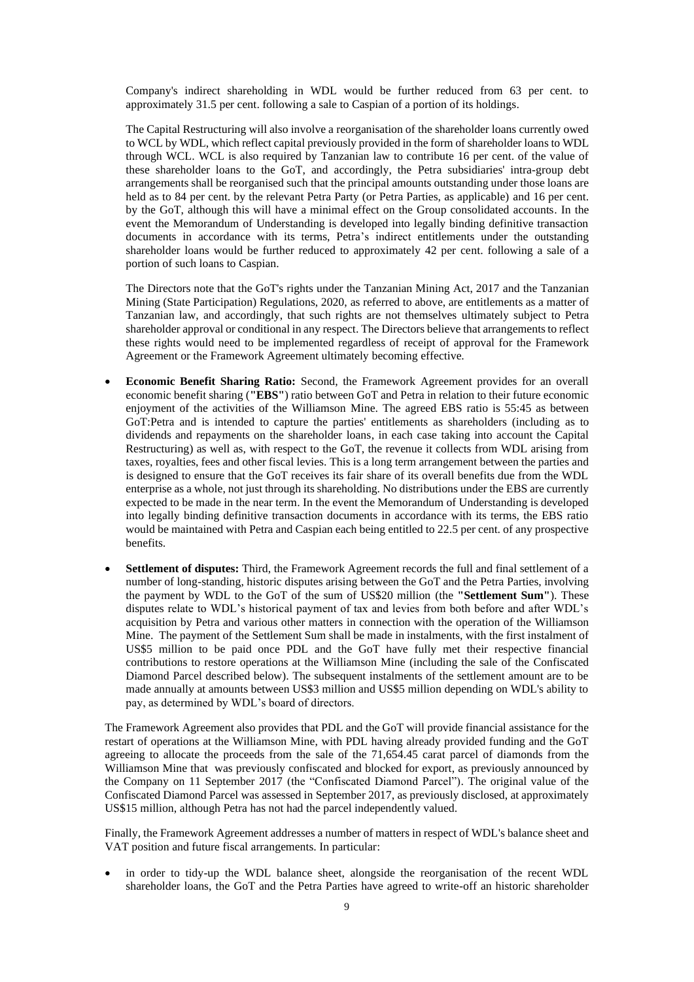Company's indirect shareholding in WDL would be further reduced from 63 per cent. to approximately 31.5 per cent. following a sale to Caspian of a portion of its holdings.

The Capital Restructuring will also involve a reorganisation of the shareholder loans currently owed to WCL by WDL, which reflect capital previously provided in the form of shareholder loans to WDL through WCL. WCL is also required by Tanzanian law to contribute 16 per cent. of the value of these shareholder loans to the GoT, and accordingly, the Petra subsidiaries' intra-group debt arrangements shall be reorganised such that the principal amounts outstanding under those loans are held as to 84 per cent. by the relevant Petra Party (or Petra Parties, as applicable) and 16 per cent. by the GoT, although this will have a minimal effect on the Group consolidated accounts. In the event the Memorandum of Understanding is developed into legally binding definitive transaction documents in accordance with its terms, Petra's indirect entitlements under the outstanding shareholder loans would be further reduced to approximately 42 per cent. following a sale of a portion of such loans to Caspian.

The Directors note that the GoT's rights under the Tanzanian Mining Act, 2017 and the Tanzanian Mining (State Participation) Regulations, 2020, as referred to above, are entitlements as a matter of Tanzanian law, and accordingly, that such rights are not themselves ultimately subject to Petra shareholder approval or conditional in any respect. The Directors believe that arrangements to reflect these rights would need to be implemented regardless of receipt of approval for the Framework Agreement or the Framework Agreement ultimately becoming effective.

- **Economic Benefit Sharing Ratio:** Second, the Framework Agreement provides for an overall economic benefit sharing (**"EBS"**) ratio between GoT and Petra in relation to their future economic enjoyment of the activities of the Williamson Mine. The agreed EBS ratio is 55:45 as between GoT:Petra and is intended to capture the parties' entitlements as shareholders (including as to dividends and repayments on the shareholder loans, in each case taking into account the Capital Restructuring) as well as, with respect to the GoT, the revenue it collects from WDL arising from taxes, royalties, fees and other fiscal levies. This is a long term arrangement between the parties and is designed to ensure that the GoT receives its fair share of its overall benefits due from the WDL enterprise as a whole, not just through its shareholding. No distributions under the EBS are currently expected to be made in the near term. In the event the Memorandum of Understanding is developed into legally binding definitive transaction documents in accordance with its terms, the EBS ratio would be maintained with Petra and Caspian each being entitled to 22.5 per cent. of any prospective benefits.
- **Settlement of disputes:** Third, the Framework Agreement records the full and final settlement of a number of long-standing, historic disputes arising between the GoT and the Petra Parties, involving the payment by WDL to the GoT of the sum of US\$20 million (the **"Settlement Sum"**). These disputes relate to WDL's historical payment of tax and levies from both before and after WDL's acquisition by Petra and various other matters in connection with the operation of the Williamson Mine. The payment of the Settlement Sum shall be made in instalments, with the first instalment of US\$5 million to be paid once PDL and the GoT have fully met their respective financial contributions to restore operations at the Williamson Mine (including the sale of the Confiscated Diamond Parcel described below). The subsequent instalments of the settlement amount are to be made annually at amounts between US\$3 million and US\$5 million depending on WDL's ability to pay, as determined by WDL's board of directors.

The Framework Agreement also provides that PDL and the GoT will provide financial assistance for the restart of operations at the Williamson Mine, with PDL having already provided funding and the GoT agreeing to allocate the proceeds from the sale of the 71,654.45 carat parcel of diamonds from the Williamson Mine that was previously confiscated and blocked for export, as previously announced by the Company on 11 September 2017 (the "Confiscated Diamond Parcel"). The original value of the Confiscated Diamond Parcel was assessed in September 2017, as previously disclosed, at approximately US\$15 million, although Petra has not had the parcel independently valued.

Finally, the Framework Agreement addresses a number of matters in respect of WDL's balance sheet and VAT position and future fiscal arrangements. In particular:

• in order to tidy-up the WDL balance sheet, alongside the reorganisation of the recent WDL shareholder loans, the GoT and the Petra Parties have agreed to write-off an historic shareholder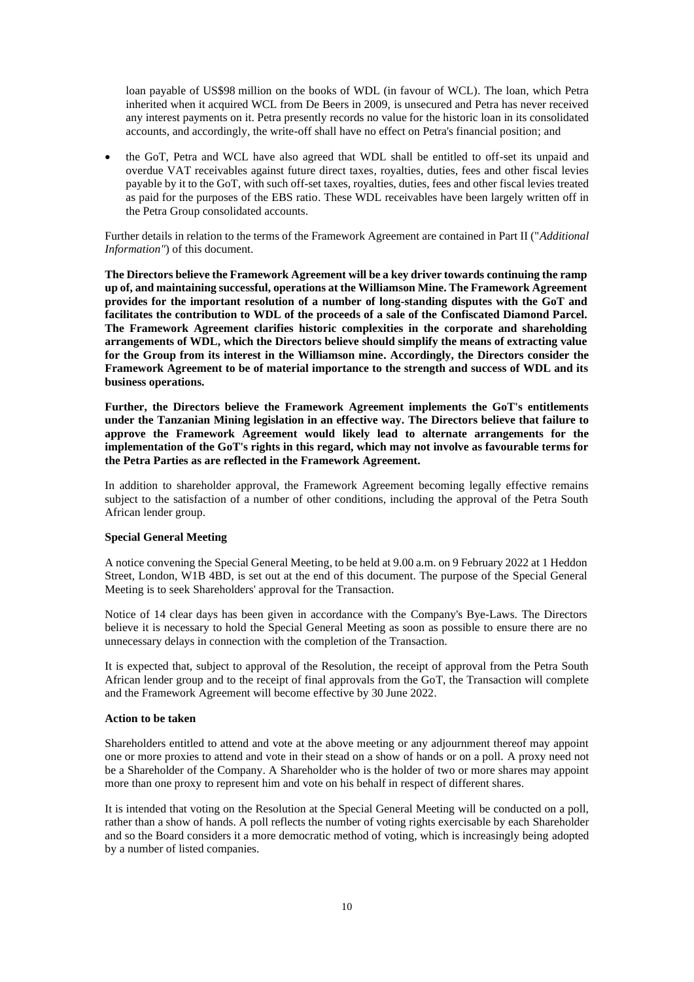loan payable of US\$98 million on the books of WDL (in favour of WCL). The loan, which Petra inherited when it acquired WCL from De Beers in 2009, is unsecured and Petra has never received any interest payments on it. Petra presently records no value for the historic loan in its consolidated accounts, and accordingly, the write-off shall have no effect on Petra's financial position; and

• the GoT, Petra and WCL have also agreed that WDL shall be entitled to off-set its unpaid and overdue VAT receivables against future direct taxes, royalties, duties, fees and other fiscal levies payable by it to the GoT, with such off-set taxes, royalties, duties, fees and other fiscal levies treated as paid for the purposes of the EBS ratio. These WDL receivables have been largely written off in the Petra Group consolidated accounts.

Further details in relation to the terms of the Framework Agreement are contained in Part II ("*Additional Information"*) of this document.

**The Directors believe the Framework Agreement will be a key driver towards continuing the ramp up of, and maintaining successful, operations at the Williamson Mine. The Framework Agreement provides for the important resolution of a number of long-standing disputes with the GoT and facilitates the contribution to WDL of the proceeds of a sale of the Confiscated Diamond Parcel. The Framework Agreement clarifies historic complexities in the corporate and shareholding arrangements of WDL, which the Directors believe should simplify the means of extracting value for the Group from its interest in the Williamson mine. Accordingly, the Directors consider the Framework Agreement to be of material importance to the strength and success of WDL and its business operations.** 

**Further, the Directors believe the Framework Agreement implements the GoT's entitlements under the Tanzanian Mining legislation in an effective way. The Directors believe that failure to approve the Framework Agreement would likely lead to alternate arrangements for the implementation of the GoT's rights in this regard, which may not involve as favourable terms for the Petra Parties as are reflected in the Framework Agreement.**

In addition to shareholder approval, the Framework Agreement becoming legally effective remains subject to the satisfaction of a number of other conditions, including the approval of the Petra South African lender group.

#### **Special General Meeting**

A notice convening the Special General Meeting, to be held at 9.00 a.m. on 9 February 2022 at 1 Heddon Street, London, W1B 4BD, is set out at the end of this document. The purpose of the Special General Meeting is to seek Shareholders' approval for the Transaction.

Notice of 14 clear days has been given in accordance with the Company's Bye-Laws. The Directors believe it is necessary to hold the Special General Meeting as soon as possible to ensure there are no unnecessary delays in connection with the completion of the Transaction.

It is expected that, subject to approval of the Resolution, the receipt of approval from the Petra South African lender group and to the receipt of final approvals from the GoT, the Transaction will complete and the Framework Agreement will become effective by 30 June 2022.

#### **Action to be taken**

Shareholders entitled to attend and vote at the above meeting or any adjournment thereof may appoint one or more proxies to attend and vote in their stead on a show of hands or on a poll. A proxy need not be a Shareholder of the Company. A Shareholder who is the holder of two or more shares may appoint more than one proxy to represent him and vote on his behalf in respect of different shares.

It is intended that voting on the Resolution at the Special General Meeting will be conducted on a poll, rather than a show of hands. A poll reflects the number of voting rights exercisable by each Shareholder and so the Board considers it a more democratic method of voting, which is increasingly being adopted by a number of listed companies.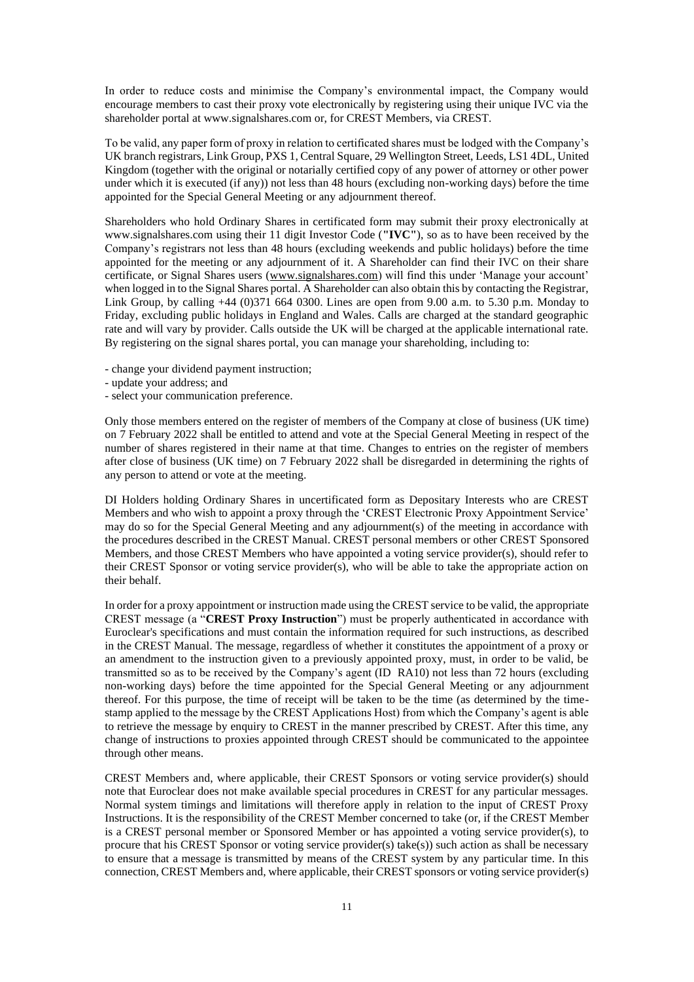In order to reduce costs and minimise the Company's environmental impact, the Company would encourage members to cast their proxy vote electronically by registering using their unique IVC via the shareholder portal at www.signalshares.com or, for CREST Members, via CREST.

To be valid, any paper form of proxy in relation to certificated shares must be lodged with the Company's UK branch registrars, Link Group, PXS 1, Central Square, 29 Wellington Street, Leeds, LS1 4DL, United Kingdom (together with the original or notarially certified copy of any power of attorney or other power under which it is executed (if any)) not less than 48 hours (excluding non-working days) before the time appointed for the Special General Meeting or any adjournment thereof.

Shareholders who hold Ordinary Shares in certificated form may submit their proxy electronically at www.signalshares.com using their 11 digit Investor Code (**"IVC"**), so as to have been received by the Company's registrars not less than 48 hours (excluding weekends and public holidays) before the time appointed for the meeting or any adjournment of it. A Shareholder can find their IVC on their share certificate, or Signal Shares users [\(www.signalshares.com\)](http://www.signalshares.com/) will find this under 'Manage your account' when logged in to the Signal Shares portal. A Shareholder can also obtain this by contacting the Registrar, Link Group, by calling  $+44$  (0)371 664 0300. Lines are open from 9.00 a.m. to 5.30 p.m. Monday to Friday, excluding public holidays in England and Wales. Calls are charged at the standard geographic rate and will vary by provider. Calls outside the UK will be charged at the applicable international rate. By registering on the signal shares portal, you can manage your shareholding, including to:

- change your dividend payment instruction;
- update your address; and
- select your communication preference.

Only those members entered on the register of members of the Company at close of business (UK time) on 7 February 2022 shall be entitled to attend and vote at the Special General Meeting in respect of the number of shares registered in their name at that time. Changes to entries on the register of members after close of business (UK time) on 7 February 2022 shall be disregarded in determining the rights of any person to attend or vote at the meeting.

DI Holders holding Ordinary Shares in uncertificated form as Depositary Interests who are CREST Members and who wish to appoint a proxy through the 'CREST Electronic Proxy Appointment Service' may do so for the Special General Meeting and any adjournment(s) of the meeting in accordance with the procedures described in the CREST Manual. CREST personal members or other CREST Sponsored Members, and those CREST Members who have appointed a voting service provider(s), should refer to their CREST Sponsor or voting service provider(s), who will be able to take the appropriate action on their behalf.

In order for a proxy appointment or instruction made using the CREST service to be valid, the appropriate CREST message (a "**CREST Proxy Instruction**") must be properly authenticated in accordance with Euroclear's specifications and must contain the information required for such instructions, as described in the CREST Manual. The message, regardless of whether it constitutes the appointment of a proxy or an amendment to the instruction given to a previously appointed proxy, must, in order to be valid, be transmitted so as to be received by the Company's agent (ID RA10) not less than 72 hours (excluding non-working days) before the time appointed for the Special General Meeting or any adjournment thereof. For this purpose, the time of receipt will be taken to be the time (as determined by the timestamp applied to the message by the CREST Applications Host) from which the Company's agent is able to retrieve the message by enquiry to CREST in the manner prescribed by CREST. After this time, any change of instructions to proxies appointed through CREST should be communicated to the appointee through other means.

CREST Members and, where applicable, their CREST Sponsors or voting service provider(s) should note that Euroclear does not make available special procedures in CREST for any particular messages. Normal system timings and limitations will therefore apply in relation to the input of CREST Proxy Instructions. It is the responsibility of the CREST Member concerned to take (or, if the CREST Member is a CREST personal member or Sponsored Member or has appointed a voting service provider(s), to procure that his CREST Sponsor or voting service provider(s) take(s)) such action as shall be necessary to ensure that a message is transmitted by means of the CREST system by any particular time. In this connection, CREST Members and, where applicable, their CREST sponsors or voting service provider(s)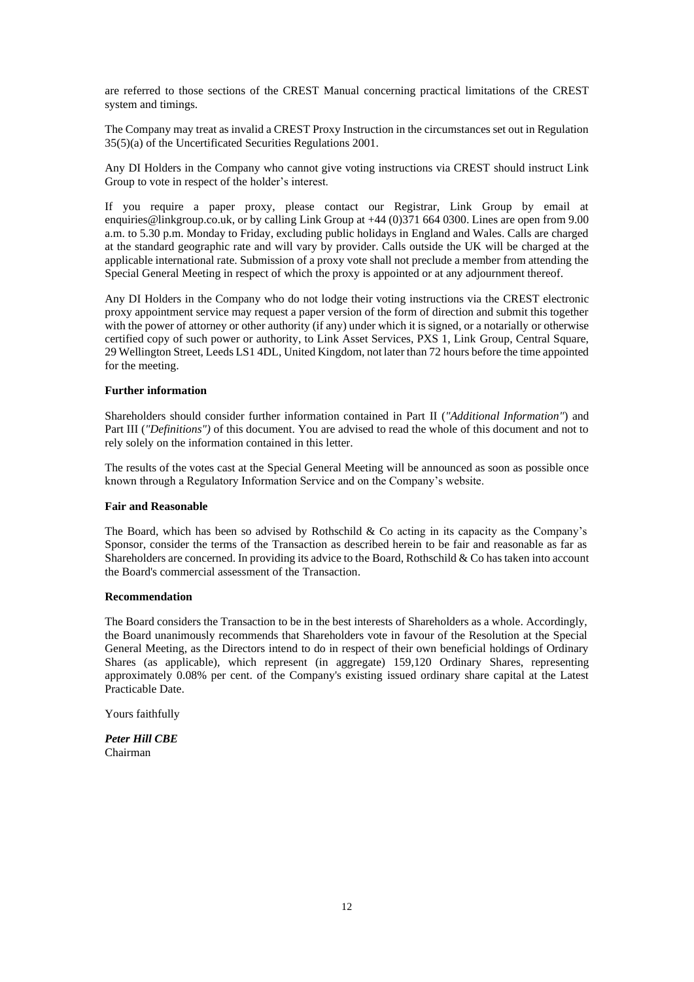are referred to those sections of the CREST Manual concerning practical limitations of the CREST system and timings.

The Company may treat as invalid a CREST Proxy Instruction in the circumstances set out in Regulation 35(5)(a) of the Uncertificated Securities Regulations 2001.

Any DI Holders in the Company who cannot give voting instructions via CREST should instruct Link Group to vote in respect of the holder's interest.

If you require a paper proxy, please contact our Registrar, Link Group by email at enquiries@linkgroup.co.uk, or by calling Link Group at +44 (0)371 664 0300. Lines are open from 9.00 a.m. to 5.30 p.m. Monday to Friday, excluding public holidays in England and Wales. Calls are charged at the standard geographic rate and will vary by provider. Calls outside the UK will be charged at the applicable international rate. Submission of a proxy vote shall not preclude a member from attending the Special General Meeting in respect of which the proxy is appointed or at any adjournment thereof.

Any DI Holders in the Company who do not lodge their voting instructions via the CREST electronic proxy appointment service may request a paper version of the form of direction and submit this together with the power of attorney or other authority (if any) under which it is signed, or a notarially or otherwise certified copy of such power or authority, to Link Asset Services, PXS 1, Link Group, Central Square, 29 Wellington Street, Leeds LS1 4DL, United Kingdom, not later than 72 hours before the time appointed for the meeting.

#### **Further information**

Shareholders should consider further information contained in Part II (*"Additional Information"*) and Part III (*"Definitions"*) of this document. You are advised to read the whole of this document and not to rely solely on the information contained in this letter.

The results of the votes cast at the Special General Meeting will be announced as soon as possible once known through a Regulatory Information Service and on the Company's website.

#### **Fair and Reasonable**

The Board, which has been so advised by Rothschild  $&$  Co acting in its capacity as the Company's Sponsor, consider the terms of the Transaction as described herein to be fair and reasonable as far as Shareholders are concerned. In providing its advice to the Board, Rothschild & Co has taken into account the Board's commercial assessment of the Transaction.

#### **Recommendation**

The Board considers the Transaction to be in the best interests of Shareholders as a whole. Accordingly, the Board unanimously recommends that Shareholders vote in favour of the Resolution at the Special General Meeting, as the Directors intend to do in respect of their own beneficial holdings of Ordinary Shares (as applicable), which represent (in aggregate) 159,120 Ordinary Shares, representing approximately 0.08% per cent. of the Company's existing issued ordinary share capital at the Latest Practicable Date.

Yours faithfully

*Peter Hill CBE* Chairman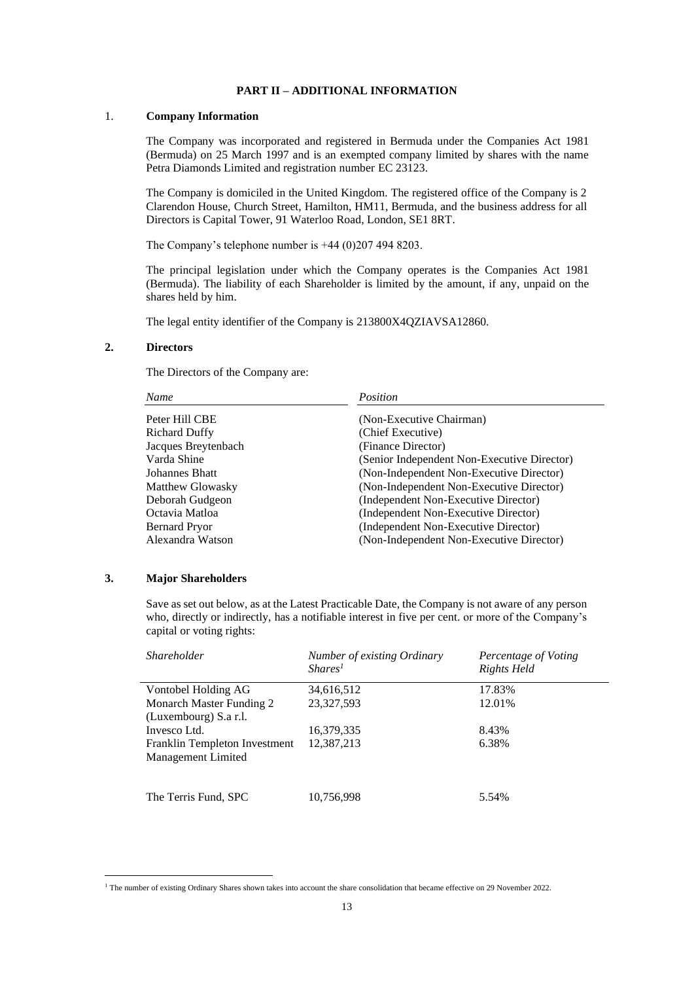# **PART II – ADDITIONAL INFORMATION**

## 1. **Company Information**

The Company was incorporated and registered in Bermuda under the Companies Act 1981 (Bermuda) on 25 March 1997 and is an exempted company limited by shares with the name Petra Diamonds Limited and registration number EC 23123.

The Company is domiciled in the United Kingdom. The registered office of the Company is 2 Clarendon House, Church Street, Hamilton, HM11, Bermuda, and the business address for all Directors is Capital Tower, 91 Waterloo Road, London, SE1 8RT.

The Company's telephone number is +44 (0)207 494 8203.

The principal legislation under which the Company operates is the Companies Act 1981 (Bermuda). The liability of each Shareholder is limited by the amount, if any, unpaid on the shares held by him.

The legal entity identifier of the Company is 213800X4QZIAVSA12860.

#### **2. Directors**

The Directors of the Company are:

| Name                 | Position                                    |
|----------------------|---------------------------------------------|
| Peter Hill CBE       | (Non-Executive Chairman)                    |
| <b>Richard Duffy</b> | (Chief Executive)                           |
| Jacques Breytenbach  | (Finance Director)                          |
| Varda Shine          | (Senior Independent Non-Executive Director) |
| Johannes Bhatt       | (Non-Independent Non-Executive Director)    |
| Matthew Glowasky     | (Non-Independent Non-Executive Director)    |
| Deborah Gudgeon      | (Independent Non-Executive Director)        |
| Octavia Matloa       | (Independent Non-Executive Director)        |
| <b>Bernard Pryor</b> | (Independent Non-Executive Director)        |
| Alexandra Watson     | (Non-Independent Non-Executive Director)    |
|                      |                                             |

## **3. Major Shareholders**

Save as set out below, as at the Latest Practicable Date, the Company is not aware of any person who, directly or indirectly, has a notifiable interest in five per cent. or more of the Company's capital or voting rights:

| <i>Shareholder</i>            | Number of existing Ordinary<br>Shares <sup>1</sup> | Percentage of Voting<br>Rights Held |
|-------------------------------|----------------------------------------------------|-------------------------------------|
| Vontobel Holding AG           | 34,616,512                                         | 17.83%                              |
| Monarch Master Funding 2      | 23,327,593                                         | 12.01%                              |
| (Luxembourg) S.a r.l.         |                                                    |                                     |
| Invesco Ltd.                  | 16,379,335                                         | 8.43%                               |
| Franklin Templeton Investment | 12,387,213                                         | 6.38%                               |
| Management Limited            |                                                    |                                     |
|                               |                                                    |                                     |
| The Terris Fund, SPC          | 10,756,998                                         | 5.54%                               |

<sup>&</sup>lt;sup>1</sup> The number of existing Ordinary Shares shown takes into account the share consolidation that became effective on 29 November 2022.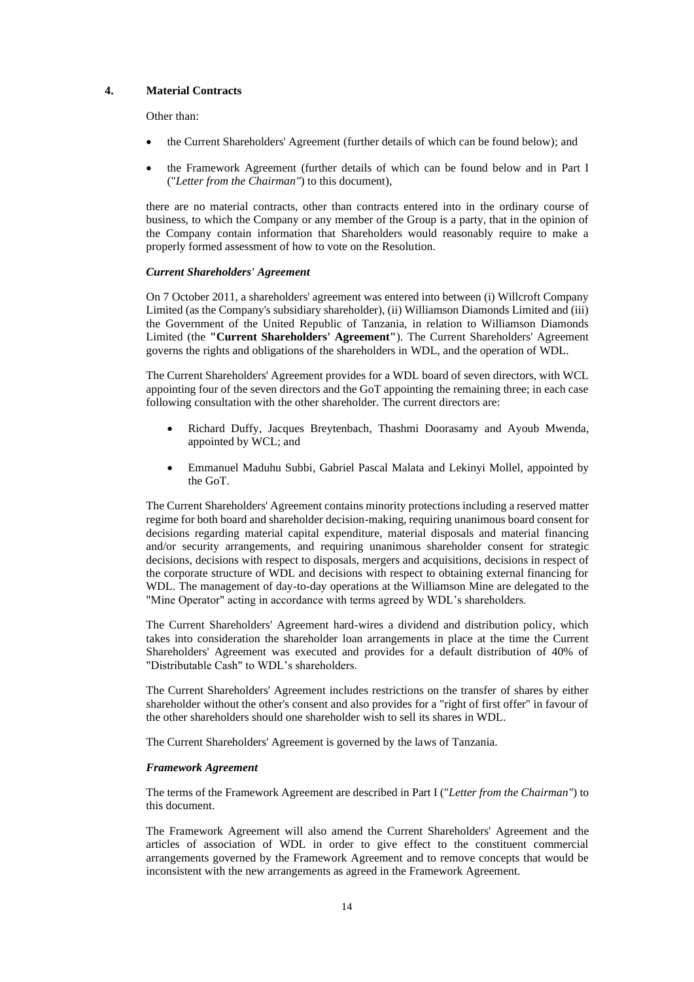#### **4. Material Contracts**

Other than:

- the Current Shareholders' Agreement (further details of which can be found below); and
- the Framework Agreement (further details of which can be found below and in Part I ("*Letter from the Chairman"*) to this document),

there are no material contracts, other than contracts entered into in the ordinary course of business, to which the Company or any member of the Group is a party, that in the opinion of the Company contain information that Shareholders would reasonably require to make a properly formed assessment of how to vote on the Resolution.

#### *Current Shareholders' Agreement*

On 7 October 2011, a shareholders' agreement was entered into between (i) Willcroft Company Limited (as the Company's subsidiary shareholder), (ii) Williamson Diamonds Limited and (iii) the Government of the United Republic of Tanzania, in relation to Williamson Diamonds Limited (the **"Current Shareholders' Agreement"**). The Current Shareholders' Agreement governs the rights and obligations of the shareholders in WDL, and the operation of WDL.

The Current Shareholders' Agreement provides for a WDL board of seven directors, with WCL appointing four of the seven directors and the GoT appointing the remaining three; in each case following consultation with the other shareholder. The current directors are:

- Richard Duffy, Jacques Breytenbach, Thashmi Doorasamy and Ayoub Mwenda, appointed by WCL; and
- Emmanuel Maduhu Subbi, Gabriel Pascal Malata and Lekinyi Mollel, appointed by the GoT.

The Current Shareholders' Agreement contains minority protections including a reserved matter regime for both board and shareholder decision-making, requiring unanimous board consent for decisions regarding material capital expenditure, material disposals and material financing and/or security arrangements, and requiring unanimous shareholder consent for strategic decisions, decisions with respect to disposals, mergers and acquisitions, decisions in respect of the corporate structure of WDL and decisions with respect to obtaining external financing for WDL. The management of day-to-day operations at the Williamson Mine are delegated to the "Mine Operator" acting in accordance with terms agreed by WDL's shareholders.

The Current Shareholders' Agreement hard-wires a dividend and distribution policy, which takes into consideration the shareholder loan arrangements in place at the time the Current Shareholders' Agreement was executed and provides for a default distribution of 40% of "Distributable Cash" to WDL's shareholders.

The Current Shareholders' Agreement includes restrictions on the transfer of shares by either shareholder without the other's consent and also provides for a "right of first offer" in favour of the other shareholders should one shareholder wish to sell its shares in WDL.

The Current Shareholders' Agreement is governed by the laws of Tanzania.

#### *Framework Agreement*

The terms of the Framework Agreement are described in Part I ("*Letter from the Chairman"*) to this document.

The Framework Agreement will also amend the Current Shareholders' Agreement and the articles of association of WDL in order to give effect to the constituent commercial arrangements governed by the Framework Agreement and to remove concepts that would be inconsistent with the new arrangements as agreed in the Framework Agreement.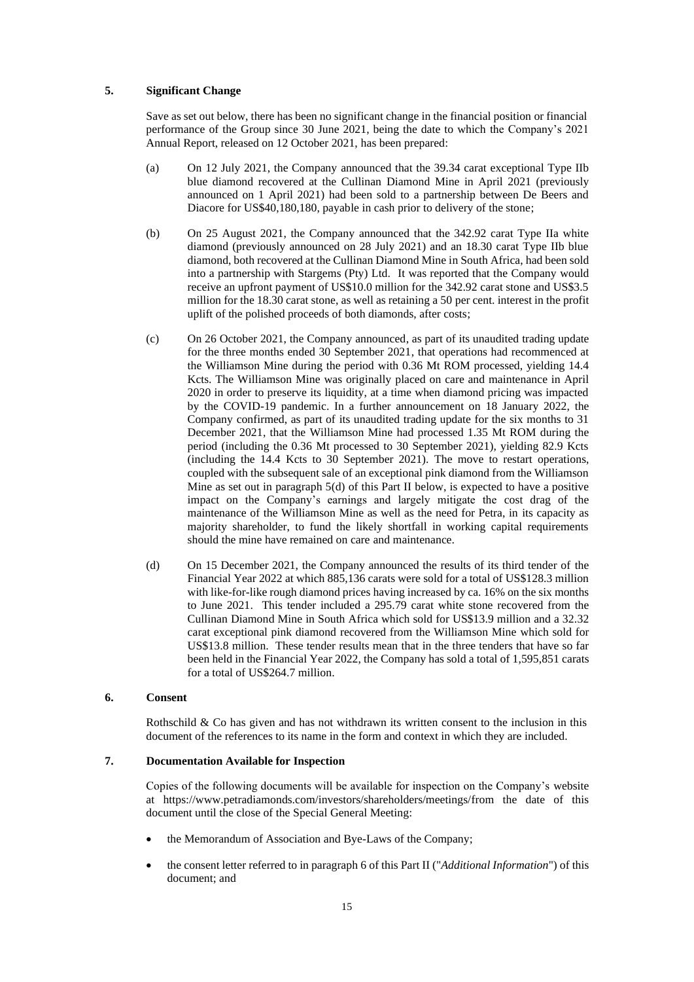# **5. Significant Change**

Save as set out below, there has been no significant change in the financial position or financial performance of the Group since 30 June 2021, being the date to which the Company's 2021 Annual Report, released on 12 October 2021, has been prepared:

- (a) On 12 July 2021, the Company announced that the 39.34 carat exceptional Type IIb blue diamond recovered at the Cullinan Diamond Mine in April 2021 (previously announced on 1 April 2021) had been sold to a partnership between De Beers and Diacore for US\$40,180,180, payable in cash prior to delivery of the stone;
- (b) On 25 August 2021, the Company announced that the 342.92 carat Type IIa white diamond (previously announced on 28 July 2021) and an 18.30 carat Type IIb blue diamond, both recovered at the Cullinan Diamond Mine in South Africa, had been sold into a partnership with Stargems (Pty) Ltd. It was reported that the Company would receive an upfront payment of US\$10.0 million for the 342.92 carat stone and US\$3.5 million for the 18.30 carat stone, as well as retaining a 50 per cent. interest in the profit uplift of the polished proceeds of both diamonds, after costs;
- (c) On 26 October 2021, the Company announced, as part of its unaudited trading update for the three months ended 30 September 2021, that operations had recommenced at the Williamson Mine during the period with 0.36 Mt ROM processed, yielding 14.4 Kcts. The Williamson Mine was originally placed on care and maintenance in April 2020 in order to preserve its liquidity, at a time when diamond pricing was impacted by the COVID-19 pandemic. In a further announcement on 18 January 2022, the Company confirmed, as part of its unaudited trading update for the six months to 31 December 2021, that the Williamson Mine had processed 1.35 Mt ROM during the period (including the 0.36 Mt processed to 30 September 2021), yielding 82.9 Kcts (including the 14.4 Kcts to 30 September 2021). The move to restart operations, coupled with the subsequent sale of an exceptional pink diamond from the Williamson Mine as set out in paragraph 5(d) of this Part II below, is expected to have a positive impact on the Company's earnings and largely mitigate the cost drag of the maintenance of the Williamson Mine as well as the need for Petra, in its capacity as majority shareholder, to fund the likely shortfall in working capital requirements should the mine have remained on care and maintenance.
- (d) On 15 December 2021, the Company announced the results of its third tender of the Financial Year 2022 at which 885,136 carats were sold for a total of US\$128.3 million with like-for-like rough diamond prices having increased by ca. 16% on the six months to June 2021. This tender included a 295.79 carat white stone recovered from the Cullinan Diamond Mine in South Africa which sold for US\$13.9 million and a 32.32 carat exceptional pink diamond recovered from the Williamson Mine which sold for US\$13.8 million. These tender results mean that in the three tenders that have so far been held in the Financial Year 2022, the Company has sold a total of 1,595,851 carats for a total of US\$264.7 million.

# **6. Consent**

Rothschild  $&$  Co has given and has not withdrawn its written consent to the inclusion in this document of the references to its name in the form and context in which they are included.

# **7. Documentation Available for Inspection**

Copies of the following documents will be available for inspection on the Company's website at https://www.petradiamonds.com/investors/shareholders/meetings/from the date of this document until the close of the Special General Meeting:

- the Memorandum of Association and Bye-Laws of the Company;
- the consent letter referred to in paragraph 6 of this Part II ("*Additional Information*") of this document; and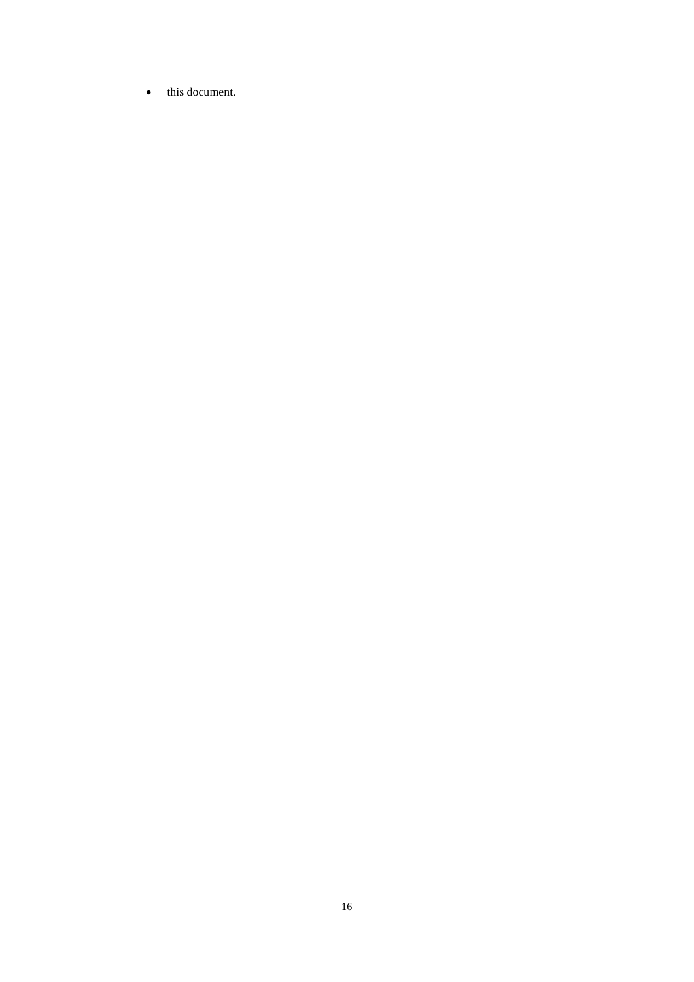• this document.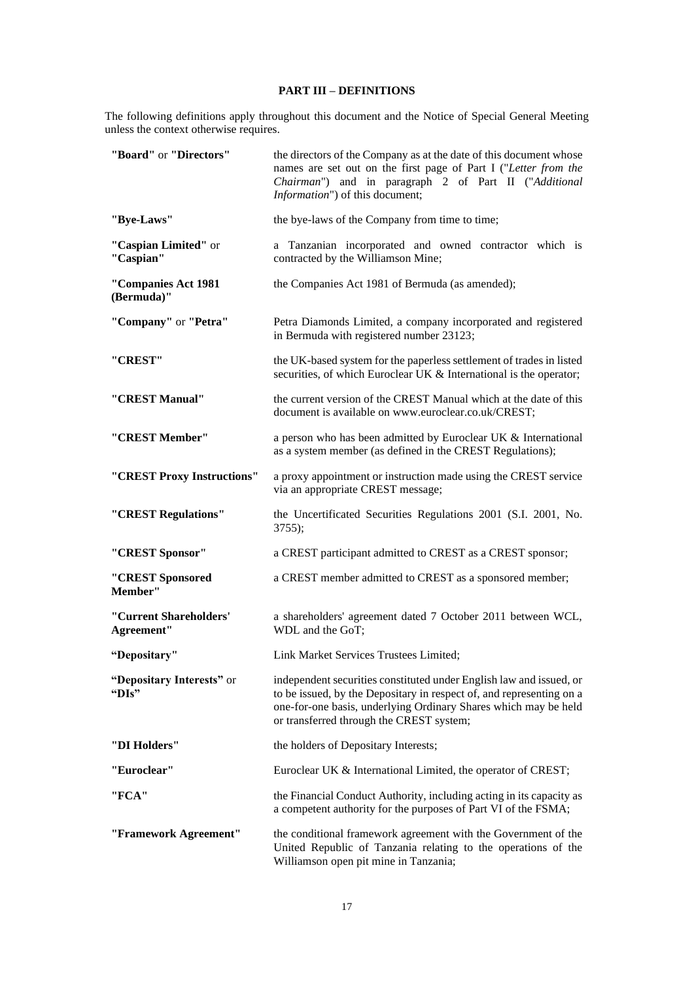# **PART III – DEFINITIONS**

The following definitions apply throughout this document and the Notice of Special General Meeting unless the context otherwise requires.

| "Board" or "Directors"               | the directors of the Company as at the date of this document whose<br>names are set out on the first page of Part I ("Letter from the<br>Chairman") and in paragraph 2 of Part II ("Additional<br>Information") of this document;                          |
|--------------------------------------|------------------------------------------------------------------------------------------------------------------------------------------------------------------------------------------------------------------------------------------------------------|
| "Bye-Laws"                           | the bye-laws of the Company from time to time;                                                                                                                                                                                                             |
| "Caspian Limited" or<br>"Caspian"    | a Tanzanian incorporated and owned contractor which is<br>contracted by the Williamson Mine;                                                                                                                                                               |
| "Companies Act 1981<br>(Bermuda)"    | the Companies Act 1981 of Bermuda (as amended);                                                                                                                                                                                                            |
| "Company" or "Petra"                 | Petra Diamonds Limited, a company incorporated and registered<br>in Bermuda with registered number 23123;                                                                                                                                                  |
| "CREST"                              | the UK-based system for the paperless settlement of trades in listed<br>securities, of which Euroclear UK & International is the operator;                                                                                                                 |
| "CREST Manual"                       | the current version of the CREST Manual which at the date of this<br>document is available on www.euroclear.co.uk/CREST;                                                                                                                                   |
| "CREST Member"                       | a person who has been admitted by Euroclear UK & International<br>as a system member (as defined in the CREST Regulations);                                                                                                                                |
| "CREST Proxy Instructions"           | a proxy appointment or instruction made using the CREST service<br>via an appropriate CREST message;                                                                                                                                                       |
| "CREST Regulations"                  | the Uncertificated Securities Regulations 2001 (S.I. 2001, No.<br>$3755$ ;                                                                                                                                                                                 |
| "CREST Sponsor"                      | a CREST participant admitted to CREST as a CREST sponsor;                                                                                                                                                                                                  |
| "CREST Sponsored<br>Member"          | a CREST member admitted to CREST as a sponsored member;                                                                                                                                                                                                    |
| "Current Shareholders'<br>Agreement" | a shareholders' agreement dated 7 October 2011 between WCL,<br>WDL and the GoT;                                                                                                                                                                            |
| "Depositary"                         | Link Market Services Trustees Limited;                                                                                                                                                                                                                     |
| "Depositary Interests" or<br>"DIs"   | independent securities constituted under English law and issued, or<br>to be issued, by the Depositary in respect of, and representing on a<br>one-for-one basis, underlying Ordinary Shares which may be held<br>or transferred through the CREST system; |
| "DI Holders"                         | the holders of Depositary Interests;                                                                                                                                                                                                                       |
| "Euroclear"                          | Euroclear UK & International Limited, the operator of CREST;                                                                                                                                                                                               |
| "FCA"                                | the Financial Conduct Authority, including acting in its capacity as<br>a competent authority for the purposes of Part VI of the FSMA;                                                                                                                     |
| "Framework Agreement"                | the conditional framework agreement with the Government of the<br>United Republic of Tanzania relating to the operations of the<br>Williamson open pit mine in Tanzania;                                                                                   |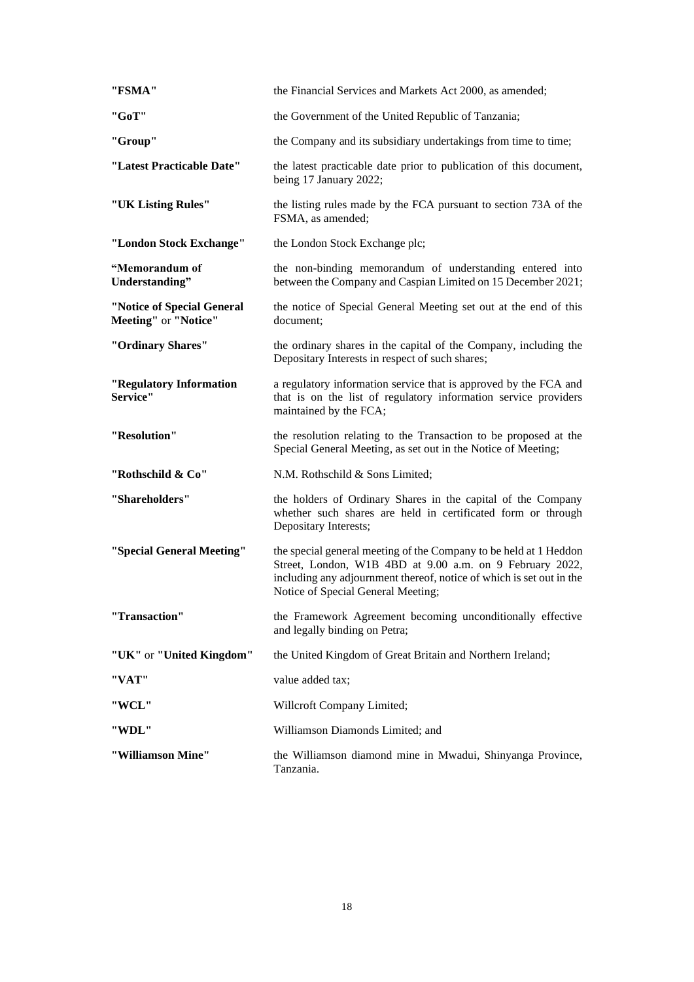| "FSMA"                                             | the Financial Services and Markets Act 2000, as amended;                                                                                                                                                                                    |
|----------------------------------------------------|---------------------------------------------------------------------------------------------------------------------------------------------------------------------------------------------------------------------------------------------|
| "GoT"                                              | the Government of the United Republic of Tanzania;                                                                                                                                                                                          |
| "Group"                                            | the Company and its subsidiary undertakings from time to time;                                                                                                                                                                              |
| "Latest Practicable Date"                          | the latest practicable date prior to publication of this document,<br>being 17 January 2022;                                                                                                                                                |
| "UK Listing Rules"                                 | the listing rules made by the FCA pursuant to section 73A of the<br>FSMA, as amended;                                                                                                                                                       |
| "London Stock Exchange"                            | the London Stock Exchange plc;                                                                                                                                                                                                              |
| "Memorandum of<br>Understanding"                   | the non-binding memorandum of understanding entered into<br>between the Company and Caspian Limited on 15 December 2021;                                                                                                                    |
| "Notice of Special General<br>Meeting" or "Notice" | the notice of Special General Meeting set out at the end of this<br>document:                                                                                                                                                               |
| "Ordinary Shares"                                  | the ordinary shares in the capital of the Company, including the<br>Depositary Interests in respect of such shares;                                                                                                                         |
| "Regulatory Information<br>Service"                | a regulatory information service that is approved by the FCA and<br>that is on the list of regulatory information service providers<br>maintained by the FCA;                                                                               |
| "Resolution"                                       | the resolution relating to the Transaction to be proposed at the<br>Special General Meeting, as set out in the Notice of Meeting;                                                                                                           |
| "Rothschild & Co"                                  | N.M. Rothschild & Sons Limited;                                                                                                                                                                                                             |
| "Shareholders"                                     | the holders of Ordinary Shares in the capital of the Company<br>whether such shares are held in certificated form or through<br>Depositary Interests;                                                                                       |
| "Special General Meeting"                          | the special general meeting of the Company to be held at 1 Heddon<br>Street, London, W1B 4BD at 9.00 a.m. on 9 February 2022,<br>including any adjournment thereof, notice of which is set out in the<br>Notice of Special General Meeting; |
| "Transaction"                                      | the Framework Agreement becoming unconditionally effective<br>and legally binding on Petra;                                                                                                                                                 |
| "UK" or "United Kingdom"                           | the United Kingdom of Great Britain and Northern Ireland;                                                                                                                                                                                   |
| "VAT"                                              | value added tax;                                                                                                                                                                                                                            |
| "WCL"                                              | Willcroft Company Limited;                                                                                                                                                                                                                  |
| "WDL"                                              | Williamson Diamonds Limited; and                                                                                                                                                                                                            |
| "Williamson Mine"                                  | the Williamson diamond mine in Mwadui, Shinyanga Province,<br>Tanzania.                                                                                                                                                                     |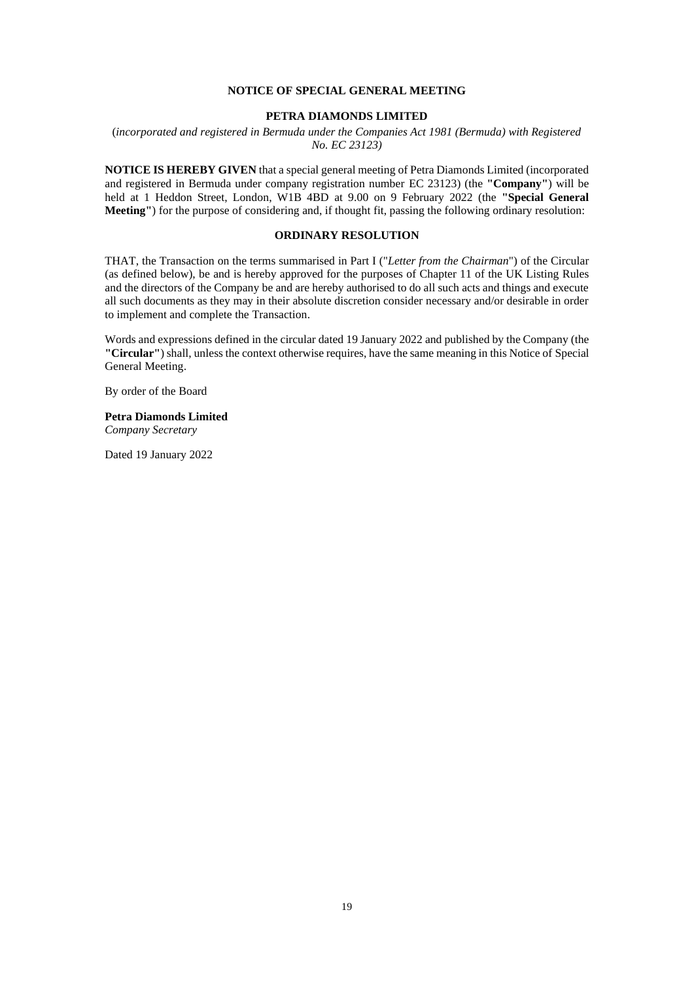#### **NOTICE OF SPECIAL GENERAL MEETING**

#### **PETRA DIAMONDS LIMITED**

(*incorporated and registered in Bermuda under the Companies Act 1981 (Bermuda) with Registered No. EC 23123)*

**NOTICE IS HEREBY GIVEN** that a special general meeting of Petra Diamonds Limited (incorporated and registered in Bermuda under company registration number EC 23123) (the **"Company"**) will be held at 1 Heddon Street, London, W1B 4BD at 9.00 on 9 February 2022 (the **"Special General Meeting"**) for the purpose of considering and, if thought fit, passing the following ordinary resolution:

# **ORDINARY RESOLUTION**

THAT, the Transaction on the terms summarised in Part I ("*Letter from the Chairman*") of the Circular (as defined below), be and is hereby approved for the purposes of Chapter 11 of the UK Listing Rules and the directors of the Company be and are hereby authorised to do all such acts and things and execute all such documents as they may in their absolute discretion consider necessary and/or desirable in order to implement and complete the Transaction.

Words and expressions defined in the circular dated 19 January 2022 and published by the Company (the **"Circular"**) shall, unless the context otherwise requires, have the same meaning in this Notice of Special General Meeting.

By order of the Board

# **Petra Diamonds Limited**

*Company Secretary*

Dated 19 January 2022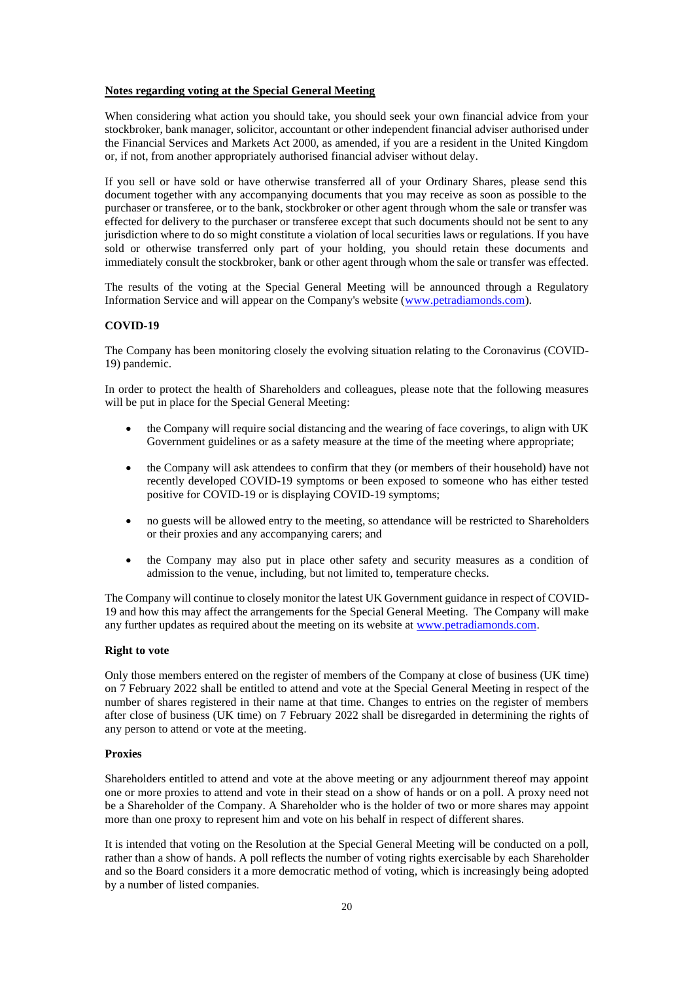#### **Notes regarding voting at the Special General Meeting**

When considering what action you should take, you should seek your own financial advice from your stockbroker, bank manager, solicitor, accountant or other independent financial adviser authorised under the Financial Services and Markets Act 2000, as amended, if you are a resident in the United Kingdom or, if not, from another appropriately authorised financial adviser without delay.

If you sell or have sold or have otherwise transferred all of your Ordinary Shares, please send this document together with any accompanying documents that you may receive as soon as possible to the purchaser or transferee, or to the bank, stockbroker or other agent through whom the sale or transfer was effected for delivery to the purchaser or transferee except that such documents should not be sent to any jurisdiction where to do so might constitute a violation of local securities laws or regulations. If you have sold or otherwise transferred only part of your holding, you should retain these documents and immediately consult the stockbroker, bank or other agent through whom the sale or transfer was effected.

The results of the voting at the Special General Meeting will be announced through a Regulatory Information Service and will appear on the Company's website [\(www.petradiamonds.com\)](http://www.petradiamonds.com/).

# **COVID-19**

The Company has been monitoring closely the evolving situation relating to the Coronavirus (COVID-19) pandemic.

In order to protect the health of Shareholders and colleagues, please note that the following measures will be put in place for the Special General Meeting:

- the Company will require social distancing and the wearing of face coverings, to align with UK Government guidelines or as a safety measure at the time of the meeting where appropriate;
- the Company will ask attendees to confirm that they (or members of their household) have not recently developed COVID-19 symptoms or been exposed to someone who has either tested positive for COVID-19 or is displaying COVID-19 symptoms;
- no guests will be allowed entry to the meeting, so attendance will be restricted to Shareholders or their proxies and any accompanying carers; and
- the Company may also put in place other safety and security measures as a condition of admission to the venue, including, but not limited to, temperature checks.

The Company will continue to closely monitor the latest UK Government guidance in respect of COVID-19 and how this may affect the arrangements for the Special General Meeting. The Company will make any further updates as required about the meeting on its website at [www.petradiamonds.com.](http://www.petradiamonds.com/)

#### **Right to vote**

Only those members entered on the register of members of the Company at close of business (UK time) on 7 February 2022 shall be entitled to attend and vote at the Special General Meeting in respect of the number of shares registered in their name at that time. Changes to entries on the register of members after close of business (UK time) on 7 February 2022 shall be disregarded in determining the rights of any person to attend or vote at the meeting.

#### **Proxies**

Shareholders entitled to attend and vote at the above meeting or any adjournment thereof may appoint one or more proxies to attend and vote in their stead on a show of hands or on a poll. A proxy need not be a Shareholder of the Company. A Shareholder who is the holder of two or more shares may appoint more than one proxy to represent him and vote on his behalf in respect of different shares.

It is intended that voting on the Resolution at the Special General Meeting will be conducted on a poll, rather than a show of hands. A poll reflects the number of voting rights exercisable by each Shareholder and so the Board considers it a more democratic method of voting, which is increasingly being adopted by a number of listed companies.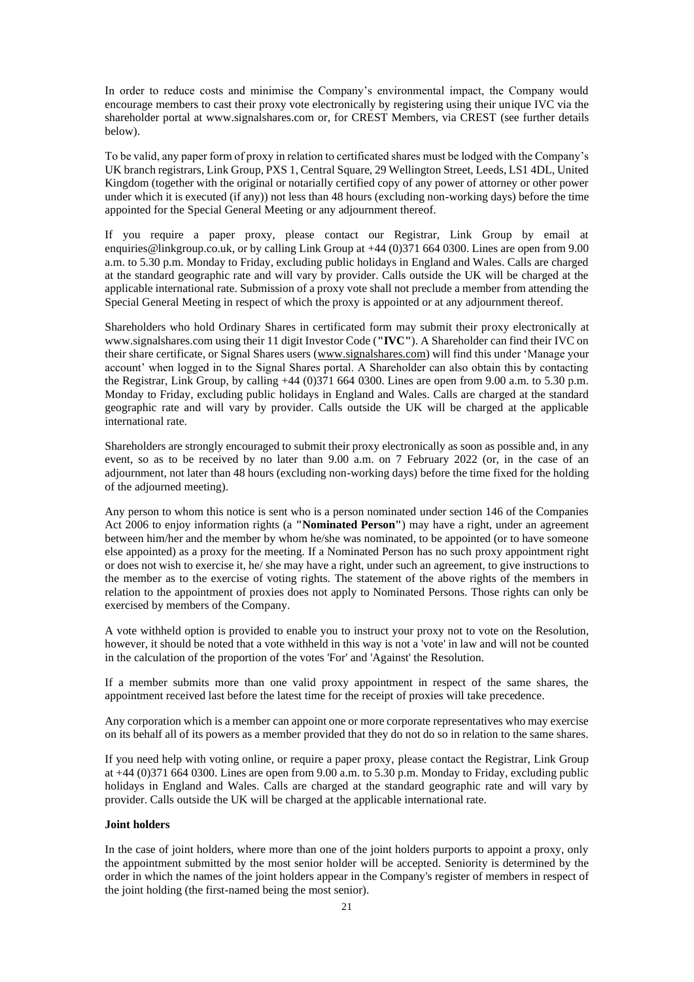In order to reduce costs and minimise the Company's environmental impact, the Company would encourage members to cast their proxy vote electronically by registering using their unique IVC via the shareholder portal at www.signalshares.com or, for CREST Members, via CREST (see further details below).

To be valid, any paper form of proxy in relation to certificated shares must be lodged with the Company's UK branch registrars, Link Group, PXS 1, Central Square, 29 Wellington Street, Leeds, LS1 4DL, United Kingdom (together with the original or notarially certified copy of any power of attorney or other power under which it is executed (if any)) not less than 48 hours (excluding non-working days) before the time appointed for the Special General Meeting or any adjournment thereof.

If you require a paper proxy, please contact our Registrar, Link Group by email at enquiries@linkgroup.co.uk, or by calling Link Group at +44 (0)371 664 0300. Lines are open from 9.00 a.m. to 5.30 p.m. Monday to Friday, excluding public holidays in England and Wales. Calls are charged at the standard geographic rate and will vary by provider. Calls outside the UK will be charged at the applicable international rate. Submission of a proxy vote shall not preclude a member from attending the Special General Meeting in respect of which the proxy is appointed or at any adjournment thereof.

Shareholders who hold Ordinary Shares in certificated form may submit their proxy electronically at www.signalshares.com using their 11 digit Investor Code (**"IVC"**). A Shareholder can find their IVC on their share certificate, or Signal Shares users [\(www.signalshares.com\)](http://www.signalshares.com/) will find this under 'Manage your account' when logged in to the Signal Shares portal. A Shareholder can also obtain this by contacting the Registrar, Link Group, by calling +44 (0)371 664 0300. Lines are open from 9.00 a.m. to 5.30 p.m. Monday to Friday, excluding public holidays in England and Wales. Calls are charged at the standard geographic rate and will vary by provider. Calls outside the UK will be charged at the applicable international rate.

Shareholders are strongly encouraged to submit their proxy electronically as soon as possible and, in any event, so as to be received by no later than 9.00 a.m. on 7 February 2022 (or, in the case of an adjournment, not later than 48 hours (excluding non-working days) before the time fixed for the holding of the adjourned meeting).

Any person to whom this notice is sent who is a person nominated under section 146 of the Companies Act 2006 to enjoy information rights (a **"Nominated Person"**) may have a right, under an agreement between him/her and the member by whom he/she was nominated, to be appointed (or to have someone else appointed) as a proxy for the meeting. If a Nominated Person has no such proxy appointment right or does not wish to exercise it, he/ she may have a right, under such an agreement, to give instructions to the member as to the exercise of voting rights. The statement of the above rights of the members in relation to the appointment of proxies does not apply to Nominated Persons. Those rights can only be exercised by members of the Company.

A vote withheld option is provided to enable you to instruct your proxy not to vote on the Resolution, however, it should be noted that a vote withheld in this way is not a 'vote' in law and will not be counted in the calculation of the proportion of the votes 'For' and 'Against' the Resolution.

If a member submits more than one valid proxy appointment in respect of the same shares, the appointment received last before the latest time for the receipt of proxies will take precedence.

Any corporation which is a member can appoint one or more corporate representatives who may exercise on its behalf all of its powers as a member provided that they do not do so in relation to the same shares.

If you need help with voting online, or require a paper proxy, please contact the Registrar, Link Group at  $+44$  (0)371 664 0300. Lines are open from 9.00 a.m. to 5.30 p.m. Monday to Friday, excluding public holidays in England and Wales. Calls are charged at the standard geographic rate and will vary by provider. Calls outside the UK will be charged at the applicable international rate.

#### **Joint holders**

In the case of joint holders, where more than one of the joint holders purports to appoint a proxy, only the appointment submitted by the most senior holder will be accepted. Seniority is determined by the order in which the names of the joint holders appear in the Company's register of members in respect of the joint holding (the first-named being the most senior).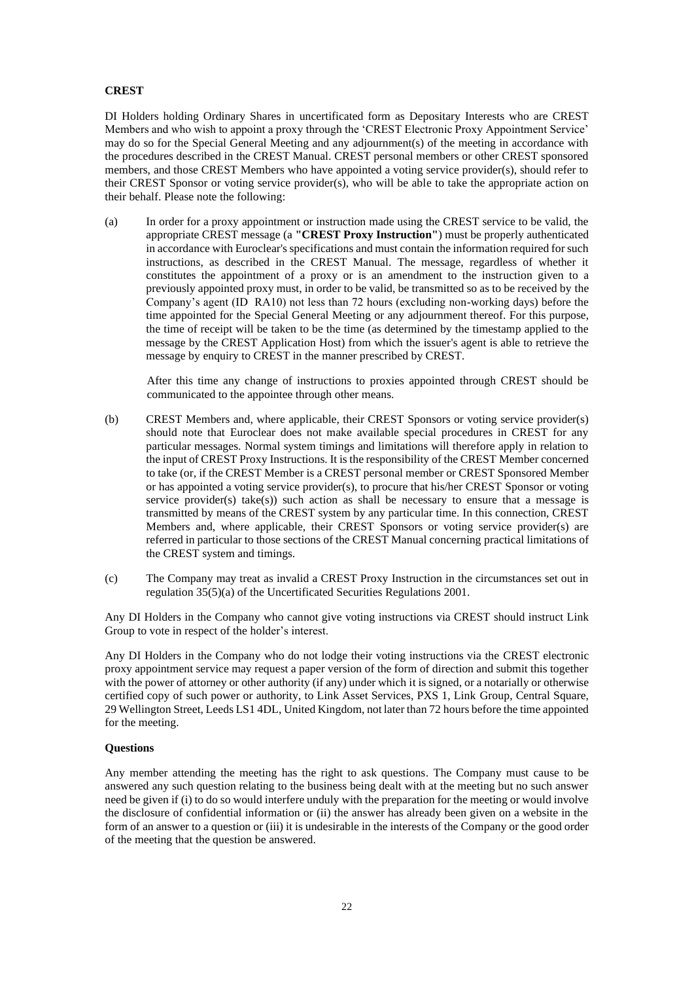# **CREST**

DI Holders holding Ordinary Shares in uncertificated form as Depositary Interests who are CREST Members and who wish to appoint a proxy through the 'CREST Electronic Proxy Appointment Service' may do so for the Special General Meeting and any adjournment(s) of the meeting in accordance with the procedures described in the CREST Manual. CREST personal members or other CREST sponsored members, and those CREST Members who have appointed a voting service provider(s), should refer to their CREST Sponsor or voting service provider(s), who will be able to take the appropriate action on their behalf. Please note the following:

(a) In order for a proxy appointment or instruction made using the CREST service to be valid, the appropriate CREST message (a **"CREST Proxy Instruction"**) must be properly authenticated in accordance with Euroclear's specifications and must contain the information required for such instructions, as described in the CREST Manual. The message, regardless of whether it constitutes the appointment of a proxy or is an amendment to the instruction given to a previously appointed proxy must, in order to be valid, be transmitted so as to be received by the Company's agent (ID RA10) not less than 72 hours (excluding non-working days) before the time appointed for the Special General Meeting or any adjournment thereof. For this purpose, the time of receipt will be taken to be the time (as determined by the timestamp applied to the message by the CREST Application Host) from which the issuer's agent is able to retrieve the message by enquiry to CREST in the manner prescribed by CREST.

After this time any change of instructions to proxies appointed through CREST should be communicated to the appointee through other means.

- (b) CREST Members and, where applicable, their CREST Sponsors or voting service provider(s) should note that Euroclear does not make available special procedures in CREST for any particular messages. Normal system timings and limitations will therefore apply in relation to the input of CREST Proxy Instructions. It is the responsibility of the CREST Member concerned to take (or, if the CREST Member is a CREST personal member or CREST Sponsored Member or has appointed a voting service provider(s), to procure that his/her CREST Sponsor or voting service provider(s) take(s)) such action as shall be necessary to ensure that a message is transmitted by means of the CREST system by any particular time. In this connection, CREST Members and, where applicable, their CREST Sponsors or voting service provider(s) are referred in particular to those sections of the CREST Manual concerning practical limitations of the CREST system and timings.
- (c) The Company may treat as invalid a CREST Proxy Instruction in the circumstances set out in regulation 35(5)(a) of the Uncertificated Securities Regulations 2001.

Any DI Holders in the Company who cannot give voting instructions via CREST should instruct Link Group to vote in respect of the holder's interest.

Any DI Holders in the Company who do not lodge their voting instructions via the CREST electronic proxy appointment service may request a paper version of the form of direction and submit this together with the power of attorney or other authority (if any) under which it is signed, or a notarially or otherwise certified copy of such power or authority, to Link Asset Services, PXS 1, Link Group, Central Square, 29 Wellington Street, Leeds LS1 4DL, United Kingdom, not later than 72 hours before the time appointed for the meeting.

#### **Questions**

Any member attending the meeting has the right to ask questions. The Company must cause to be answered any such question relating to the business being dealt with at the meeting but no such answer need be given if (i) to do so would interfere unduly with the preparation for the meeting or would involve the disclosure of confidential information or (ii) the answer has already been given on a website in the form of an answer to a question or (iii) it is undesirable in the interests of the Company or the good order of the meeting that the question be answered.